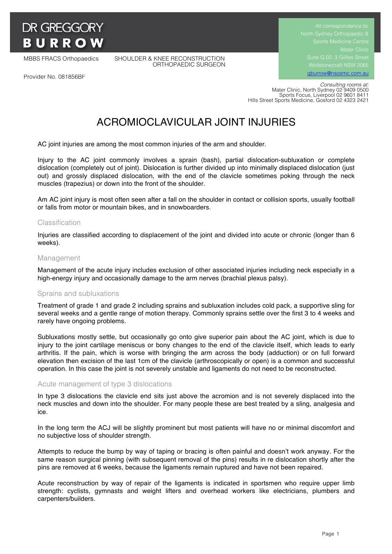# **DR GREGGORY BURROW**

MBBS FRACS Orthopaedics SHOULDER & KNEE RECONSTRUCTION ORTHOPAEDIC SURGEON Suite G.02, 3 Gillies Street Wollstonecraft NSW 2065 gburrow@nsosmc.com.au

Provider No. 081856BF

 *Consulting rooms at:* Mater Clinic, North Sydney 02 9409 0500 Sports Focus, Liverpool 02 9601 8411 Hills Street Sports Medicine, Gosford 02 4323 2421

# ACROMIOCLAVICULAR JOINT INJURIES

AC joint injuries are among the most common injuries of the arm and shoulder.

Injury to the AC joint commonly involves a sprain (bash), partial dislocation-subluxation or complete dislocation (completely out of joint). Dislocation is further divided up into minimally displaced dislocation (just out) and grossly displaced dislocation, with the end of the clavicle sometimes poking through the neck muscles (trapezius) or down into the front of the shoulder.

Am AC joint injury is most often seen after a fall on the shoulder in contact or collision sports, usually football or falls from motor or mountain bikes, and in snowboarders.

# Classification

Injuries are classified according to displacement of the joint and divided into acute or chronic (longer than 6 weeks).

#### Management

Management of the acute injury includes exclusion of other associated injuries including neck especially in a high-energy injury and occasionally damage to the arm nerves (brachial plexus palsy).

#### Sprains and subluxations

Treatment of grade 1 and grade 2 including sprains and subluxation includes cold pack, a supportive sling for several weeks and a gentle range of motion therapy. Commonly sprains settle over the first 3 to 4 weeks and rarely have ongoing problems.

Subluxations mostly settle, but occasionally go onto give superior pain about the AC joint, which is due to injury to the joint cartilage meniscus or bony changes to the end of the clavicle itself, which leads to early arthritis. If the pain, which is worse with bringing the arm across the body (adduction) or on full forward elevation then excision of the last 1cm of the clavicle (arthroscopically or open) is a common and successful operation. In this case the joint is not severely unstable and ligaments do not need to be reconstructed.

# Acute management of type 3 dislocations

In type 3 dislocations the clavicle end sits just above the acromion and is not severely displaced into the neck muscles and down into the shoulder. For many people these are best treated by a sling, analgesia and ice.

In the long term the ACJ will be slightly prominent but most patients will have no or minimal discomfort and no subjective loss of shoulder strength.

Attempts to reduce the bump by way of taping or bracing is often painful and doesn't work anyway. For the same reason surgical pinning (with subsequent removal of the pins) results in re dislocation shortly after the pins are removed at 6 weeks, because the ligaments remain ruptured and have not been repaired.

Acute reconstruction by way of repair of the ligaments is indicated in sportsmen who require upper limb strength: cyclists, gymnasts and weight lifters and overhead workers like electricians, plumbers and carpenters/builders.